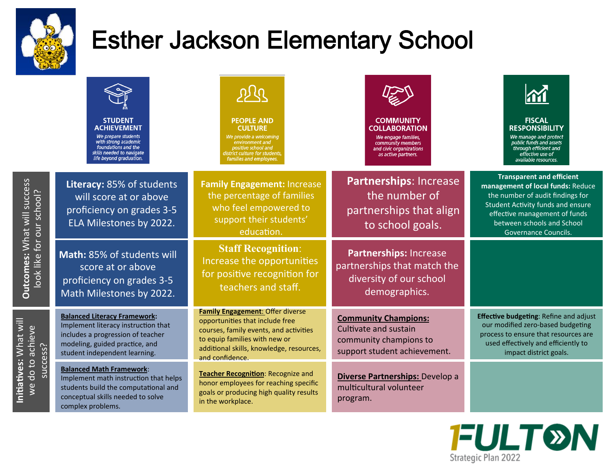

**Initiatives: What will** 

Initiatives: What will

# Esther Jackson Elementary School

|                                                                                   | <b>STUDENT</b><br><b>ACHIEVEMENT</b><br>We prepare students<br>with strong academic<br>foundations and the<br>skills needed to navigate<br>life beyond graduation.                 | <b>PEOPLE AND</b><br><b>CULTURE</b><br>We provide a welcoming<br>environment and<br>positive school and<br>district culture for students,<br>families and employees.                                                 | <b>COMMUNITY</b><br><b>COLLABORATION</b><br>We engage families,<br>community members<br>and civic organizations<br>as active partners. | <b>FISCAL</b><br><b>RESPONSIBILITY</b><br>We manage and protect<br>public funds and assets<br>through efficient and<br>effective use of<br>available resources.                                                                              |
|-----------------------------------------------------------------------------------|------------------------------------------------------------------------------------------------------------------------------------------------------------------------------------|----------------------------------------------------------------------------------------------------------------------------------------------------------------------------------------------------------------------|----------------------------------------------------------------------------------------------------------------------------------------|----------------------------------------------------------------------------------------------------------------------------------------------------------------------------------------------------------------------------------------------|
| Outcomes: What will success<br>look like for our school?                          | Literacy: 85% of students<br>will score at or above<br>proficiency on grades 3-5<br>ELA Milestones by 2022.                                                                        | <b>Family Engagement: Increase</b><br>the percentage of families<br>who feel empowered to<br>support their students'<br>education.                                                                                   | <b>Partnerships: Increase</b><br>the number of<br>partnerships that align<br>to school goals.                                          | <b>Transparent and efficient</b><br>management of local funds: Reduce<br>the number of audit findings for<br><b>Student Activity funds and ensure</b><br>effective management of funds<br>between schools and School<br>Governance Councils. |
|                                                                                   | Math: 85% of students will<br>score at or above<br>proficiency on grades 3-5<br>Math Milestones by 2022.                                                                           | <b>Staff Recognition:</b><br>Increase the opportunities<br>for positive recognition for<br>teachers and staff.                                                                                                       | Partnerships: Increase<br>partnerships that match the<br>diversity of our school<br>demographics.                                      |                                                                                                                                                                                                                                              |
| vvlldl will<br>do to achieve<br>success?<br>。<br>ນິ<br><b>MIN</b><br>we<br>i<br>E | <b>Balanced Literacy Framework:</b><br>Implement literacy instruction that<br>includes a progression of teacher<br>modeling, guided practice, and<br>student independent learning. | <b>Family Engagement: Offer diverse</b><br>opportunities that include free<br>courses, family events, and activities<br>to equip families with new or<br>additional skills, knowledge, resources,<br>and confidence. | <b>Community Champions:</b><br>Cultivate and sustain<br>community champions to<br>support student achievement.                         | <b>Effective budgeting: Refine and adjust</b><br>our modified zero-based budgeting<br>process to ensure that resources are<br>used effectively and efficiently to<br>impact district goals.                                                  |
|                                                                                   | <b>Balanced Math Framework:</b><br>Implement math instruction that helps<br>students build the computational and<br>conceptual skills needed to solve<br>complex problems.         | Teacher Recognition: Recognize and<br>honor employees for reaching specific<br>goals or producing high quality results<br>in the workplace.                                                                          | Diverse Partnerships: Develop a<br>multicultural volunteer<br>program.                                                                 |                                                                                                                                                                                                                                              |

**FULT®N** Strategic Plan 2022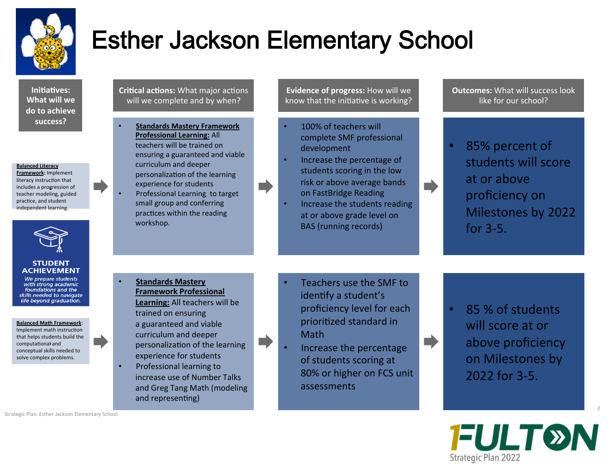

**Initiatives: What will we** do to achieve **success?** 

#### **Balanced Literacy**

**Framework:** Implement literacy instruction that includes a progression of teacher modeling, guided practice, and student independent learning.



#### **STUDENT ACHIEVEMENT**

We prepare students with strong academic foundations and the skills needed to navigate life beyond graduation.

**Balanced Math Framework**: Implement math instruction that helps students build the computational and conceptual skills needed to solve complex problems.

**Critical actions:** What major actions will we complete and by when?

**Standards Mastery Framework Professional Learning: All** teachers will be trained on ensuring a guaranteed and viable curriculum and deeper personalization of the learning experience for students Professional Learning to target small group and conferring

practices within the reading

workshop. 

**Standards Mastery Framework Professional** 

Learning: All teachers will be trained on ensuring a guaranteed and viable curriculum and deeper personalization of the learning experience for students

Professional learning to increase use of Number Talks and Greg Tang Math (modeling and representing)

**Evidence of progress:** How will we know that the initiative is working?

- 100% of teachers will complete SMF professional development
- Increase the percentage of students scoring in the low risk or above average bands on FastBridge Reading

m.

T.

Increase the students reading at or above grade level on BAS (running records)

**Outcomes:** What will success look like for our school?

• 85% percent of students will score at or above proficiency on Milestones by 2022 for  $3-5$ .

- Teachers use the SMF to identify a student's proficiency level for each prioritized standard in **Math**
- Increase the percentage of students scoring at 80% or higher on FCS unit assessments
- 85 % of students will score at or above proficiency on Milestones by 2022 for 3-5.



2 

Strategic Plan: Esther Jackson Elementary School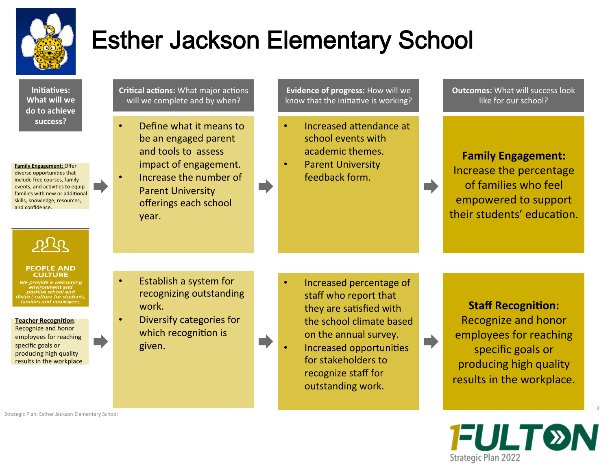

**Initiatives: What will we** do to achieve **success?** 

**Family Engagement: Offer** diverse opportunities that include free courses, family events, and activities to equip families with new or additional skills, knowledge, resources, and confidence.

 $\mathcal{P}^{\mathcal{U}}$ 

#### **PEOPLE AND CULTURE**

We provide a welcoming positive school and district culture for students, milies and employees

**Teacher Recognition:** Recognize and honor employees for reaching specific goals or producing high quality results in the workplace **Critical actions:** What major actions will we complete and by when?

- Define what it means to be an engaged parent and tools to assess impact of engagement.
- Increase the number of **Parent University** offerings each school year.

**Evidence of progress:** How will we know that the initiative is working?

- Increased attendance at school events with academic themes.
- Parent University feedback form.

**Outcomes:** What will success look like for our school?

**Family Engagement:** Increase the percentage of families who feel empowered to support their students' education.

 $\blacksquare$ 

- Establish a system for recognizing outstanding
- Diversify categories for which recognition is given.

work. 

- Increased percentage of staff who report that they are satisfied with the school climate based on the annual survey.
- Increased opportunities for stakeholders to recognize staff for outstanding work.

**Staff Recognition: Recognize and honor** employees for reaching specific goals or producing high quality results in the workplace.

**FULT®N** Strategic Plan 2022

3 

Strategic Plan: Esther Jackson Elementary School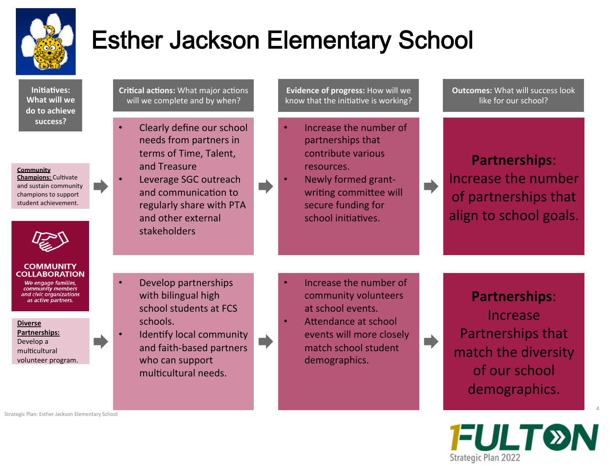

**Initiatives: What will we** do to achieve **success?** 

**Community** 

**Champions: Cultivate** and sustain community champions to support student achievement.



#### **COMMUNITY COLLABORATION**

We engage families, community members and civic organizations as active partners.

### **Diverse**

**Partnerships:**  Develop a multicultural volunteer program. **Critical actions:** What major actions will we complete and by when?

- Clearly define our school needs from partners in terms of Time, Talent, and Treasure
- Leverage SGC outreach and communication to regularly share with PTA and other external stakeholders

Develop partnerships with bilingual high

school students at FCS

Identify local community and faith-based partners

who can support multicultural needs.

schools. 

- **Evidence of progress:** How will we know that the initiative is working?
- Increase the number of partnerships that contribute various resources.
- Newly formed grantwriting committee will secure funding for school initiatives.

**Outcomes:** What will success look like for our school?

### **Partnerships**: Increase the number of partnerships that align to school goals.

- Increase the number of community volunteers at school events.
- Attendance at school events will more closely match school student demographics.

 $\blacktriangleright$ 

**Partnerships**: Increase Partnerships that match the diversity of our school demographics.

**FULT®N** Strategic Plan 2022

Strategic Plan: Esther Jackson Elementary School

4